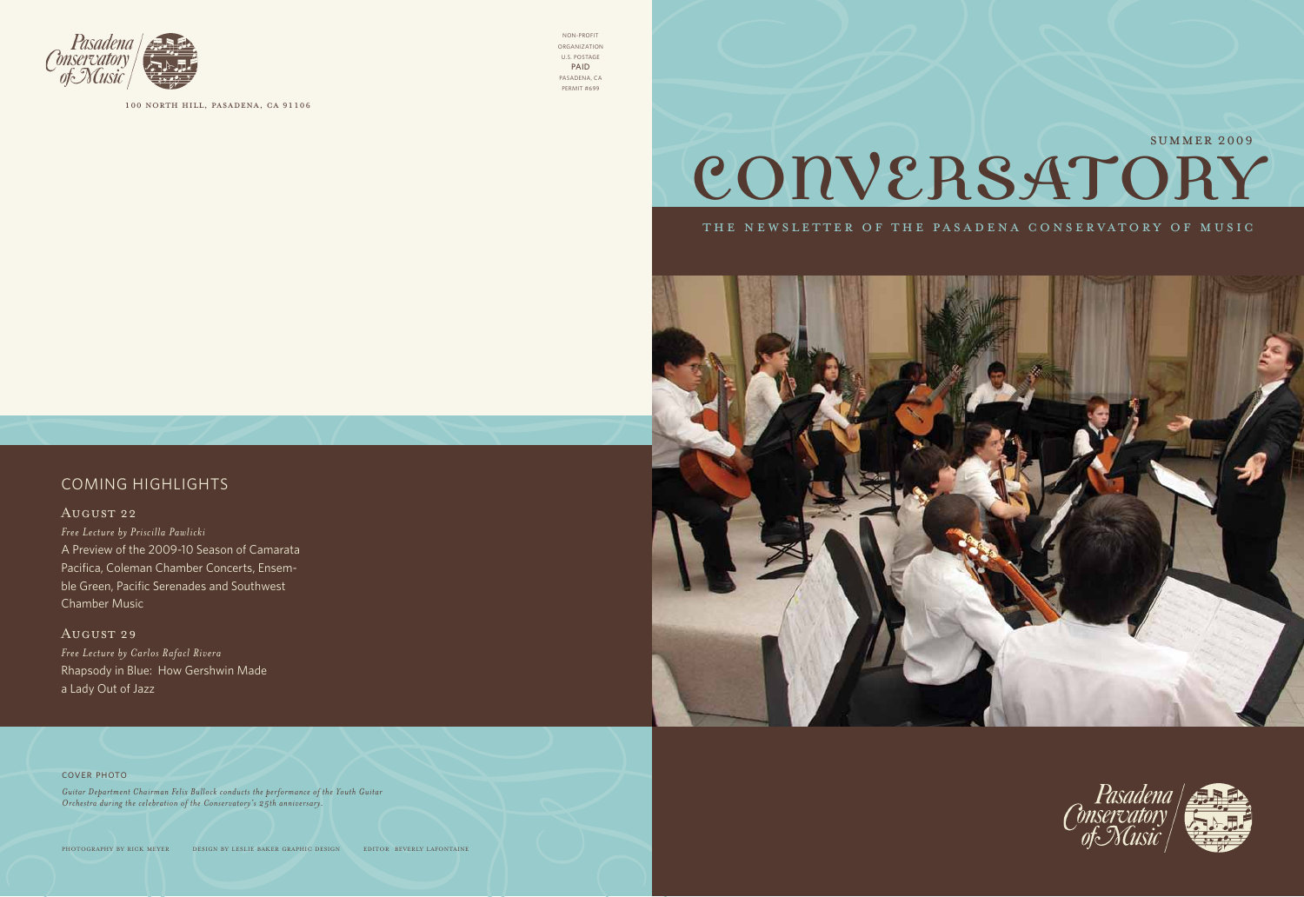#### cover photo

*Guitar Department Chairman Felix Bullock conducts the performance of the Youth Guitar Orchestra during the celebration of the Conservatory's 25th anniversary.*

photography by rick meyer design by leslie baker graphic design editor beverly lafontaine

#### coming highlights

#### August 22

*Free Lecture by Priscilla Pawlicki* A Preview of the 2009-10 Season of Camarata Pacifica, Coleman Chamber Concerts, Ensemble Green, Pacific Serenades and Southwest Chamber Music

August 29 *Free Lecture by Carlos Rafacl Rivera* Rhapsody in Blue: How Gershwin Made a Lady Out of Jazz



# CONVERSATORY

THE NEWSLETTER OF THE PASADENA CONSERVATORY OF MUSIC







100 north hill, pasadena, ca 91106

Non-profit organization u.s. postage PAID pasadena, ca permit #699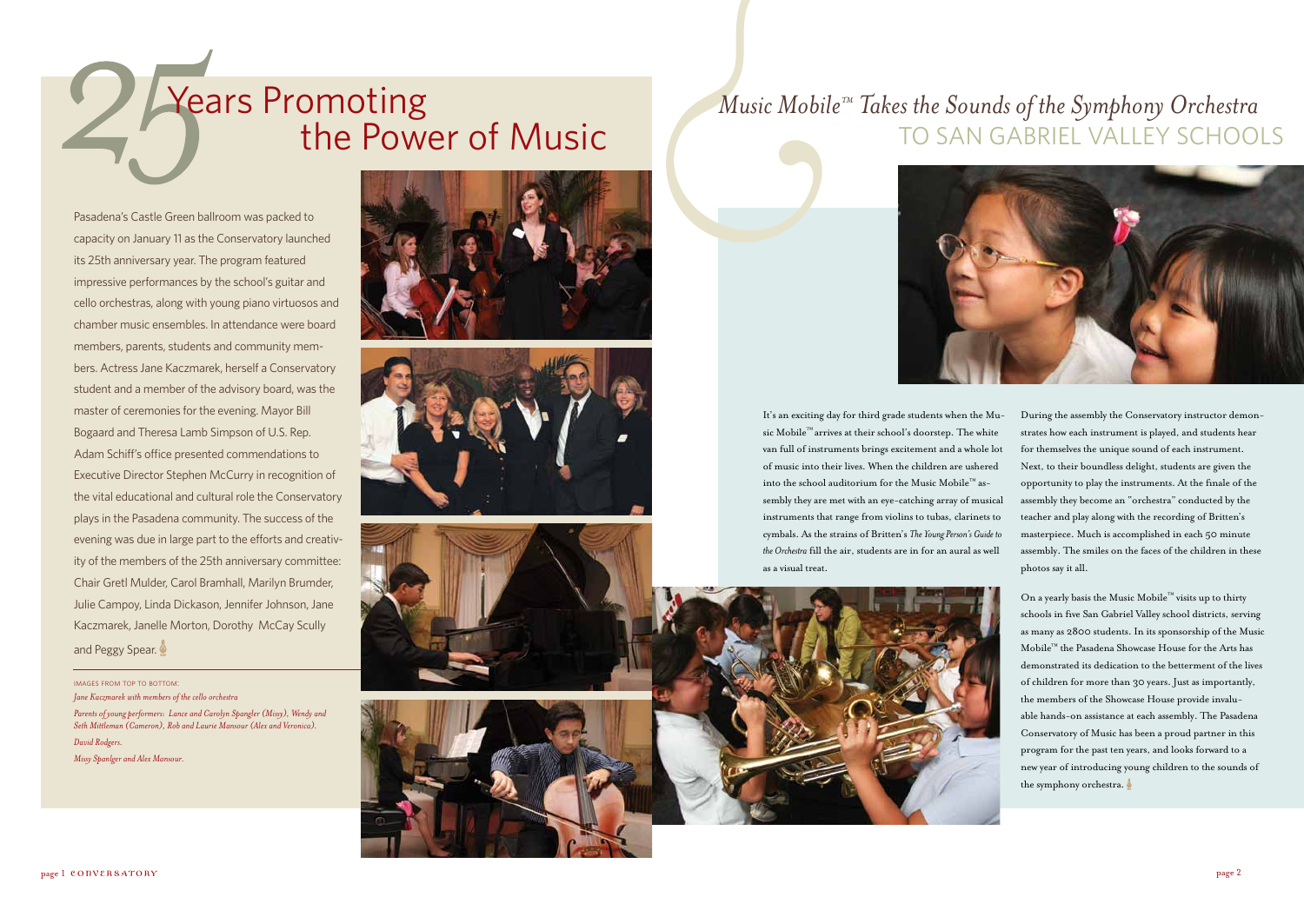# **Years Promoting** the Power of Music

Pasadena's Castle Green ballroom was packed to capacity on January 11 as the Conservatory launched its 25th anniversary year. The program featured impressive performances by the school's guitar and cello orchestras, along with young piano virtuosos and chamber music ensembles. In attendance were board members, parents, students and community members. Actress Jane Kaczmarek, herself a Conservatory student and a member of the advisory board, was the master of ceremonies for the evening. Mayor Bill Bogaard and Theresa Lamb Simpson of U.S. Rep. Adam Schiff's office presented commendations to Executive Director Stephen McCurry in recognition of the vital educational and cultural role the Conservatory plays in the Pasadena community. The success of the evening was due in large part to the efforts and creativity of the members of the 25th anniversary committee: Chair Gretl Mulder, Carol Bramhall, Marilyn Brumder, Julie Campoy, Linda Dickason, Jennifer Johnson, Jane Kaczmarek, Janelle Morton, Dorothy McCay Scully and Peggy Spear.

images from top to bottom: *Jane Kaczmarek with members of the cello orchestra* 

*Parents of young performers: Lance and Carolyn Spangler (Missy), Wendy and Seth Mittleman (Cameron), Rob and Laurie Mansour (Alex and Veronica). David Rodgers. Missy Spanlger and Alex Mansour.*









It's an exciting day for third grade students when the Music Mobile™ arrives at their school's doorstep. The white van full of instruments brings excitement and a whole lot of music into their lives. When the children are ushered into the school auditorium for the Music Mobile™ assembly they are met with an eye-catching array of musical instruments that range from violins to tubas, clarinets to cymbals. As the strains of Britten's *The Young Person's Guide to the Orchestra* fill the air, students are in for an aural as well as a visual treat.



During the assembly the Conservatory instructor demonstrates how each instrument is played, and students hear for themselves the unique sound of each instrument. Next, to their boundless delight, students are given the opportunity to play the instruments. At the finale of the assembly they become an "orchestra" conducted by the teacher and play along with the recording of Britten's masterpiece. Much is accomplished in each 50 minute assembly. The smiles on the faces of the children in these photos say it all.

On a yearly basis the Music Mobile™ visits up to thirty schools in five San Gabriel Valley school districts, serving as many as 2800 students. In its sponsorship of the Music Mobile™ the Pasadena Showcase House for the Arts has demonstrated its dedication to the betterment of the lives of children for more than 30 years. Just as importantly, the members of the Showcase House provide invaluable hands-on assistance at each assembly. The Pasadena Conservatory of Music has been a proud partner in this program for the past ten years, and looks forward to a new year of introducing young children to the sounds of the symphony orchestra.

### *Music Mobile™ Takes the Sounds of the Symphony Orchestra*  to San Gabriel Valley Schools

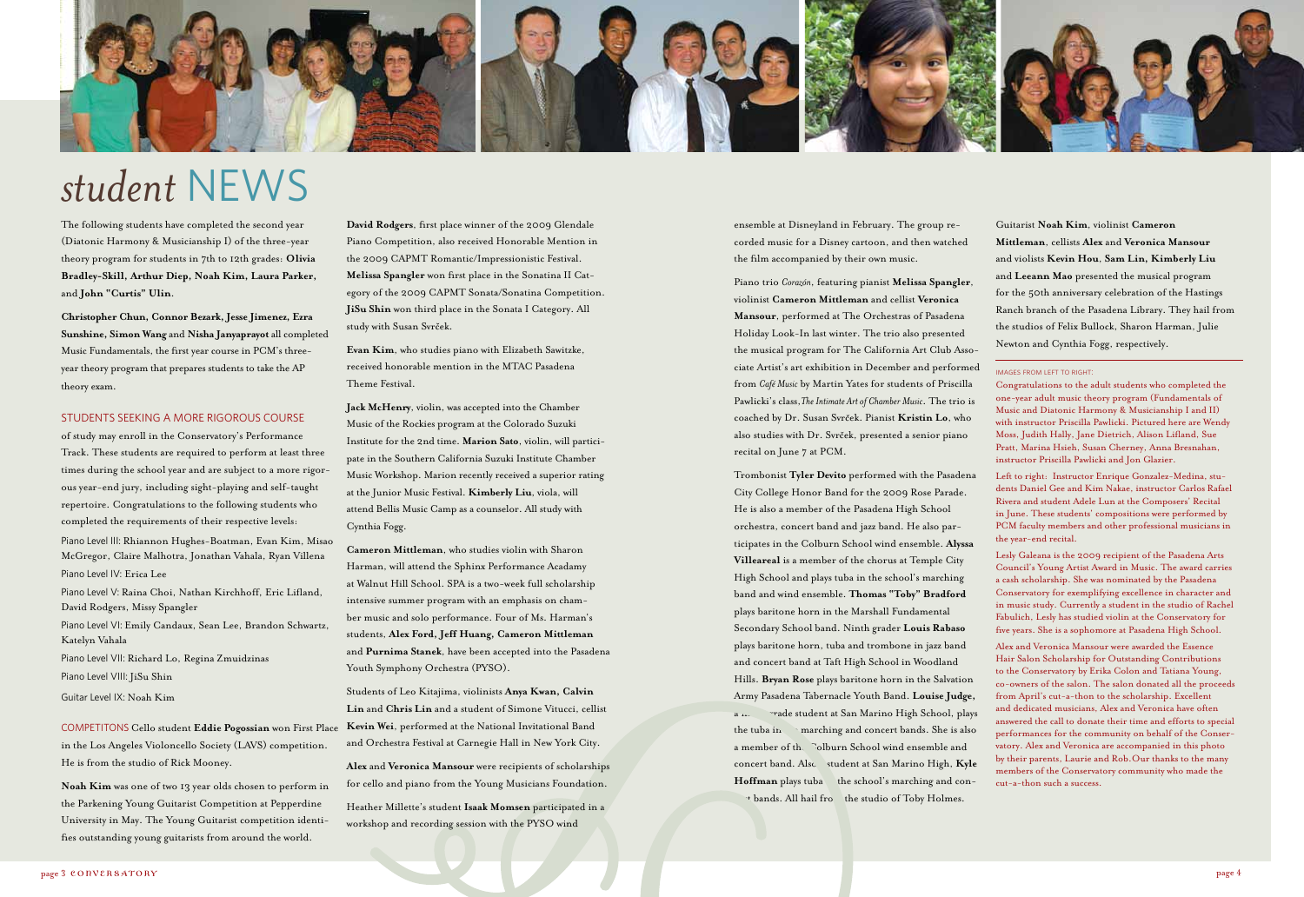The following students have completed the second year (Diatonic Harmony & Musicianship I) of the three-year theory program for students in 7th to 12th grades: **Olivia Bradley-Skill, Arthur Diep, Noah Kim, Laura Parker,** and **John "Curtis" Ulin**.

**Christopher Chun, Connor Bezark, Jesse Jimenez, Ezra Sunshine, Simon Wang** and **Nisha Janyaprayot** all completed Music Fundamentals, the first year course in PCM's threeyear theory program that prepares students to take the AP theory exam.

#### Students seeking a more rigorous course

of study may enroll in the Conservatory's Performance Track. These students are required to perform at least three times during the school year and are subject to a more rigorous year-end jury, including sight-playing and self-taught repertoire. Congratulations to the following students who completed the requirements of their respective levels:

Piano Level III: Rhiannon Hughes-Boatman, Evan Kim, Misao McGregor, Claire Malhotra, Jonathan Vahala, Ryan Villena Piano Level IV: Erica Lee

Piano Level V: Raina Choi, Nathan Kirchhoff, Eric Lifland, David Rodgers, Missy Spangler

Piano Level VI: Emily Candaux, Sean Lee, Brandon Schwartz, Katelyn Vahala

Piano Level VII: Richard Lo, Regina Zmuidzinas

Trombonist **Tyler Devito** performed with the Pasadena City College Honor Band for the 2009 Rose Parade. He is also a member of the Pasadena High School orchestra, concert band and jazz band. He also participates in the Colburn School wind ensemble. **Alyssa Villeareal** is a member of the chorus at Temple City High School and plays tuba in the school's marching band and wind ensemble. **Thomas "Toby" Bradford** plays baritone horn in the Marshall Fundamental Secondary School band. Ninth grader **Louis Rabaso** plays baritone horn, tuba and trombone in jazz band and concert band at Taft High School in Woodland Hills. **Bryan Rose** plays baritone horn in the Salvation Army Pasadena Tabernacle Youth Band. **Louise Judge,** a ... Trade student at San Marino High School, plays the tuba in marching and concert bands. She is also a member of the Colburn School wind ensemble and concert band. Also student at San Marino High, Kyle Hoffman plays tuba the school's marching and con-\* bands. All hail fro the studio of Toby Holmes.

Piano Level VIII: JiSu Shin

Guitar Level IX: Noah Kim

COMPETITONS Cello student **Eddie Pogossian** won First Place in the Los Angeles Violoncello Society (LAVS) competition. He is from the studio of Rick Mooney.

**Noah Kim** was one of two 13 year olds chosen to perform in the Parkening Young Guitarist Competition at Pepperdine University in May. The Young Guitarist competition identifies outstanding young guitarists from around the world.



# *student* News

ensemble at Disneyland in February. The group recorded music for a Disney cartoon, and then watched the film accompanied by their own music.

Piano trio *Corazón*, featuring pianist **Melissa Spangler**, violinist **Cameron Mittleman** and cellist **Veronica Mansour**, performed at The Orchestras of Pasadena Holiday Look-In last winter. The trio also presented the musical program for The California Art Club Associate Artist's art exhibition in December and performed from *Café Music* by Martin Yates for students of Priscilla Pawlicki's class,*The Intimate Art of Chamber Music*. The trio is coached by Dr. Susan Svrček. Pianist Kristin Lo, who also studies with Dr. Svrček, presented a senior piano recital on June 7 at PCM.

**David Rodgers**, first place winner of the 2009 Glendale Piano Competition, also received Honorable Mention in the 2009 CAPMT Romantic/Impressionistic Festival. **Melissa Spangler** won first place in the Sonatina II Category of the 2009 CAPMT Sonata/Sonatina Competition. **JiSu Shin** won third place in the Sonata I Category. All study with Susan Svrček.

Guitarist **Noah Kim**, violinist **Cameron Mittleman**, cellists **Alex** and **Veronica Mansour** and violists **Kevin Hou**, **Sam Lin, Kimberly Liu**  and **Leeann Mao** presented the musical program for the 50th anniversary celebration of the Hastings Ranch branch of the Pasadena Library. They hail from the studios of Felix Bullock, Sharon Harman, Julie Newton and Cynthia Fogg, respectively.

#### images from left to right:

Congratulations to the adult students who completed the one-year adult music theory program (Fundamentals of Music and Diatonic Harmony & Musicianship I and II) with instructor Priscilla Pawlicki. Pictured here are Wendy Moss, Judith Hally, Jane Dietrich, Alison Lifland, Sue Pratt, Marina Hsieh, Susan Cherney, Anna Bresnahan, instructor Priscilla Pawlicki and Jon Glazier.

Left to right: Instructor Enrique Gonzalez-Medina, students Daniel Gee and Kim Nakae, instructor Carlos Rafael Rivera and student Adele Lun at the Composers' Recital in June. These students' compositions were performed by PCM faculty members and other professional musicians in the year-end recital.

Lesly Galeana is the 2009 recipient of the Pasadena Arts Council's Young Artist Award in Music. The award carries a cash scholarship. She was nominated by the Pasadena Conservatory for exemplifying excellence in character and in music study. Currently a student in the studio of Rachel Fabulich, Lesly has studied violin at the Conservatory for five years. She is a sophomore at Pasadena High School.

Alex and Veronica Mansour were awarded the Essence Hair Salon Scholarship for Outstanding Contributions to the Conservatory by Erika Colon and Tatiana Young, co-owners of the salon. The salon donated all the proceeds from April's cut-a-thon to the scholarship. Excellent and dedicated musicians, Alex and Veronica have often answered the call to donate their time and efforts to special performances for the community on behalf of the Conservatory. Alex and Veronica are accompanied in this photo by their parents, Laurie and Rob.Our thanks to the many members of the Conservatory community who made the cut-a-thon such a success.

**Evan Kim**, who studies piano with Elizabeth Sawitzke, received honorable mention in the MTAC Pasadena Theme Festival.

**Jack McHenry**, violin, was accepted into the Chamber Music of the Rockies program at the Colorado Suzuki Institute for the 2nd time. **Marion Sato**, violin, will participate in the Southern California Suzuki Institute Chamber Music Workshop. Marion recently received a superior rating at the Junior Music Festival. **Kimberly Liu**, viola, will attend Bellis Music Camp as a counselor. All study with Cynthia Fogg.

**Cameron Mittleman**, who studies violin with Sharon Harman, will attend the Sphinx Performance Acadamy at Walnut Hill School. SPA is a two-week full scholarship intensive summer program with an emphasis on chamber music and solo performance. Four of Ms. Harman's students, **Alex Ford, Jeff Huang, Cameron Mittleman** and **Purnima Stanek**, have been accepted into the Pasadena Youth Symphony Orchestra (PYSO).

Students of Leo Kitajima, violinists **Anya Kwan, Calvin Lin** and **Chris Lin** and a student of Simone Vitucci, cellist **Kevin Wei**, performed at the National Invitational Band and Orchestra Festival at Carnegie Hall in New York City.

**Alex** and **Veronica Mansour** were recipients of scholarships for cello and piano from the Young Musicians Foundation.

Heather Millette's student **Isaak Momsen** participated in a workshop and recording session with the PYSO wind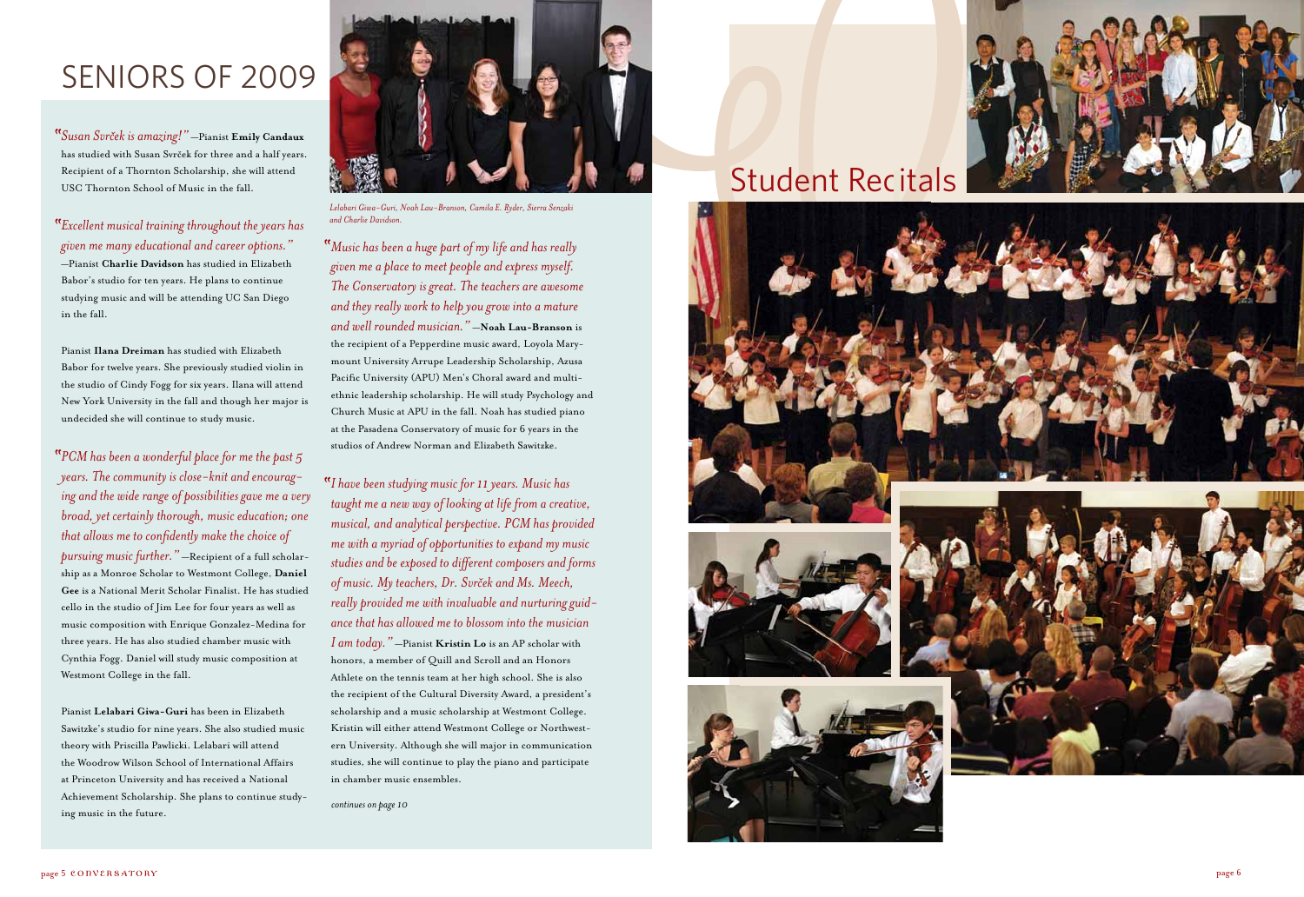### Student Recitals





### SENIORS OF 2009

*Susan Svrcek is amazing!"* —Pianist **Emily Candaux**  has studied with Susan Svrček for three and a half years. Recipient of a Thornton Scholarship, she will attend USC Thornton School of Music in the fall.

*Excellent musical training throughout the years has given me many educational and career options."*  —Pianist **Charlie Davidson** has studied in Elizabeth Babor's studio for ten years. He plans to continue studying music and will be attending UC San Diego in the fall.

Pianist **Ilana Dreiman** has studied with Elizabeth Babor for twelve years. She previously studied violin in the studio of Cindy Fogg for six years. Ilana will attend New York University in the fall and though her major is undecided she will continue to study music.

*PCM has been a wonderful place for me the past 5 years. The community is close-knit and encourag ing and the wide range of possibilities gave me a very broad, yet certainly thorough, music education; one that allows me to confidently make the choice of pursuing music further."* —Recipient of a full scholar ship as a Monroe Scholar to Westmont College, **Daniel Gee** is a National Merit Scholar Finalist. He has studied cello in the studio of Jim Lee for four years as well as music composition with Enrique Gonzalez-Medina for three years. He has also studied chamber music with Cynthia Fogg. Daniel will study music composition at Westmont College in the fall.

Pianist **Lelabari Giwa-Guri** has been in Elizabeth Sawitzke's studio for nine years. She also studied music theory with Priscilla Pawlicki. Lelabari will attend the Woodrow Wilson School of International Affairs at Princeton University and has received a National Achievement Scholarship. She plans to continue study ing music in the future.



*Music has been a huge part of my life and has really given me a place to meet people and express myself. The Conservatory is great. The teachers are awesome and they really work to help you grow into a mature and well rounded musician."* —**Noah Lau-Branson** is the recipient of a Pepperdine music award, Loyola Mary mount University Arrupe Leadership Scholarship, Azusa Pacific University (APU) Men's Choral award and multiethnic leadership scholarship. He will study Psychology and Church Music at APU in the fall. Noah has studied piano at the Pasadena Conservatory of music for 6 years in the studios of Andrew Norman and Elizabeth Sawitzke.

*I have been studying music for 11 years. Music has taught me a new way of looking at life from a creative, musical, and analytical perspective. PCM has provided me with a myriad of opportunities to expand my music studies and be exposed to different composers and forms of music. My teachers, Dr. Svrcek and Ms. Meech, really provided me with invaluable and nurturing guid ance that has allowed me to blossom into the musician I am today."* —Pianist **Kristin Lo** is an AP scholar with honors, a member of Quill and Scroll and an Honors Athlete on the tennis team at her high school. She is also the recipient of the Cultural Diversity Award, a president's scholarship and a music scholarship at Westmont College. Kristin will either attend Westmont College or Northwest ern University. Although she will major in communication studies, she will continue to play the piano and participate in chamber music ensembles.

*Lelabari Giwa-Guri, Noah Lau-Branson, Camila E. Ryder, Sierra Senzaki and Charlie Davidson.*

*continues on page 10*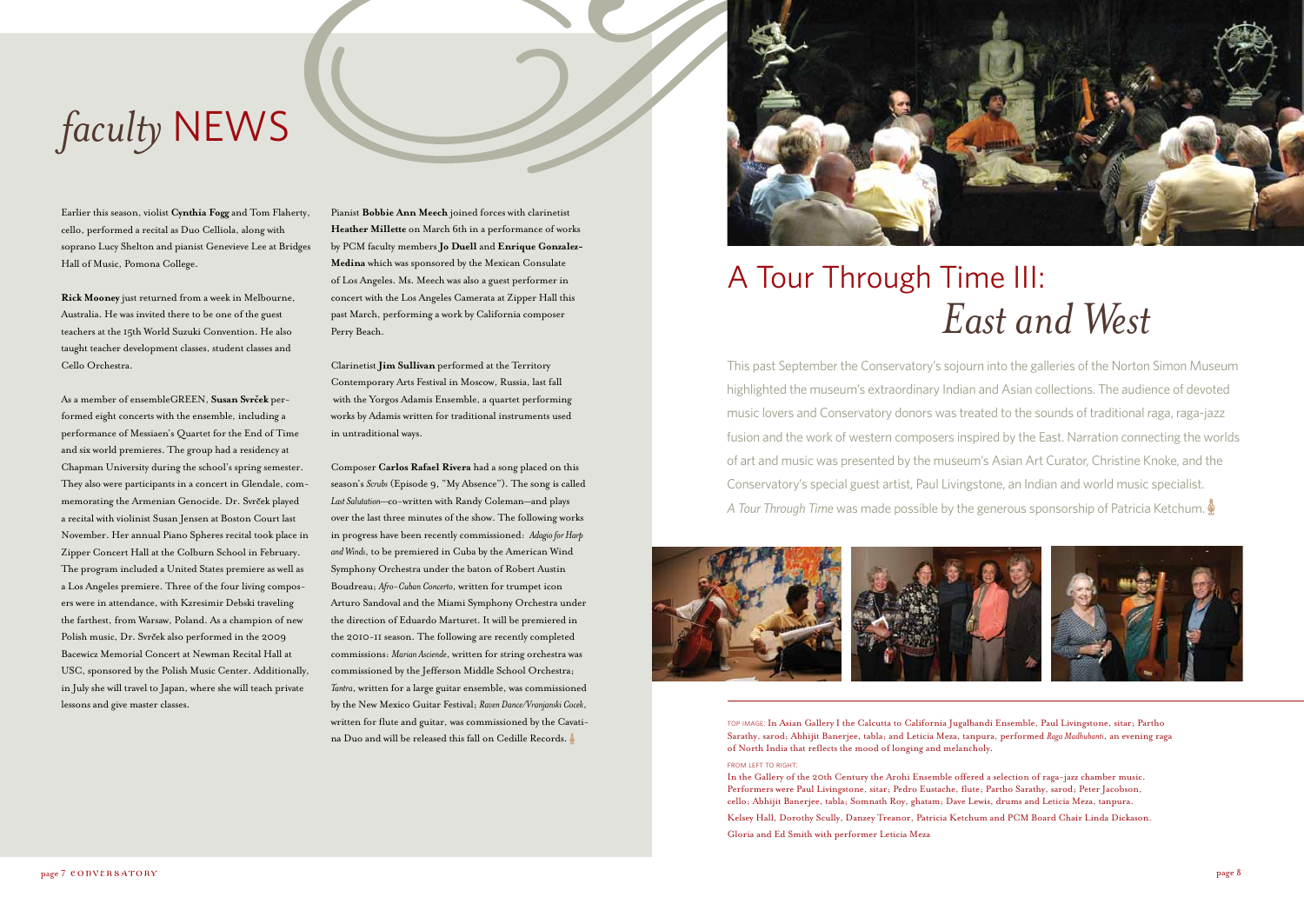# *faculty* NEWS

Earlier this season, violist **Cynthia Fogg** and Tom Flaherty, cello, performed a recital as Duo Celliola, along with soprano Lucy Shelton and pianist Genevieve Lee at Bridges Hall of Music, Pomona College.

**Rick Mooney** just returned from a week in Melbourne, Australia. He was invited there to be one of the guest teachers at the 15th World Suzuki Convention. He also taught teacher development classes, student classes and Cello Orchestra.

As a member of ensembleGREEN, **Susan Svrcek** performed eight concerts with the ensemble, including a performance of Messiaen's Quartet for the End of Time and six world premieres. The group had a residency at Chapman University during the school's spring semester. They also were participants in a concert in Glendale, commemorating the Armenian Genocide. Dr. Svrček played a recital with violinist Susan Jensen at Boston Court last November. Her annual Piano Spheres recital took place in Zipper Concert Hall at the Colburn School in February. The program included a United States premiere as well as a Los Angeles premiere. Three of the four living composers were in attendance, with Kzresimir Debski traveling the farthest, from Warsaw, Poland. As a champion of new Polish music, Dr. Svrček also performed in the 2009 Bacewicz Memorial Concert at Newman Recital Hall at USC, sponsored by the Polish Music Center. Additionally, in July she will travel to Japan, where she will teach private lessons and give master classes.

Pianist **Bobbie Ann Meech** joined forces with clarinetist **Heather Millette** on March 6th in a performance of works by PCM faculty members **Jo Duell** and **Enrique Gonzalez-Medina** which was sponsored by the Mexican Consulate of Los Angeles. Ms. Meech was also a guest performer in concert with the Los Angeles Camerata at Zipper Hall this past March, performing a work by California composer Perry Beach.

Clarinetist **Jim Sullivan** performed at the Territory Contemporary Arts Festival in Moscow, Russia, last fall with the Yorgos Adamis Ensemble, a quartet performing works by Adamis written for traditional instruments used in untraditional ways.

Composer **Carlos Rafael Rivera** had a song placed on this season's *Scrubs* (Episode 9, "My Absence"). The song is called *Last Salutation*—co-written with Randy Coleman—and plays over the last three minutes of the show. The following works in progress have been recently commissioned: *Adagio for Harp and Winds*, to be premiered in Cuba by the American Wind Symphony Orchestra under the baton of Robert Austin Boudreau; *Afro-Cuban Concerto*, written for trumpet icon Arturo Sandoval and the Miami Symphony Orchestra under the direction of Eduardo Marturet. It will be premiered in the 2010-11 season. The following are recently completed commissions: *Marian Asciende*, written for string orchestra was commissioned by the Jefferson Middle School Orchestra; *Tantra*, written for a large guitar ensemble, was commissioned by the New Mexico Guitar Festival; *Raven Dance/Vranjanski Cocek*, written for flute and guitar, was commissioned by the Cavatina Duo and will be released this fall on Cedille Records.



This past September the Conservatory's sojourn into the galleries of the Norton Simon Museum highlighted the museum's extraordinary Indian and Asian collections. The audience of devoted music lovers and Conservatory donors was treated to the sounds of traditional raga, raga-jazz fusion and the work of western composers inspired by the East. Narration connecting the worlds of art and music was presented by the museum's Asian Art Curator, Christine Knoke, and the Conservatory's special guest artist, Paul Livingstone, an Indian and world music specialist. *A Tour Through Time* was made possible by the generous sponsorship of Patricia Ketchum.



## *East and West* A Tour Through Time III:

top image: In Asian Gallery I the Calcutta to California Jugalbandi Ensemble, Paul Livingstone, sitar; Partho Sarathy, sarod; Abhijit Banerjee, tabla; and Leticia Meza, tanpura, performed *Raga Madhubanti*, an evening raga of North India that reflects the mood of longing and melancholy.

FROM LEFT TO RIGHT:

In the Gallery of the 20th Century the Arohi Ensemble offered a selection of raga-jazz chamber music. Performers were Paul Livingstone, sitar; Pedro Eustache, flute; Partho Sarathy, sarod; Peter Jacobson, cello; Abhijit Banerjee, tabla; Somnath Roy, ghatam; Dave Lewis, drums and Leticia Meza, tanpura.

Kelsey Hall, Dorothy Scully, Danzey Treanor, Patricia Ketchum and PCM Board Chair Linda Dickason.

Gloria and Ed Smith with performer Leticia Meza